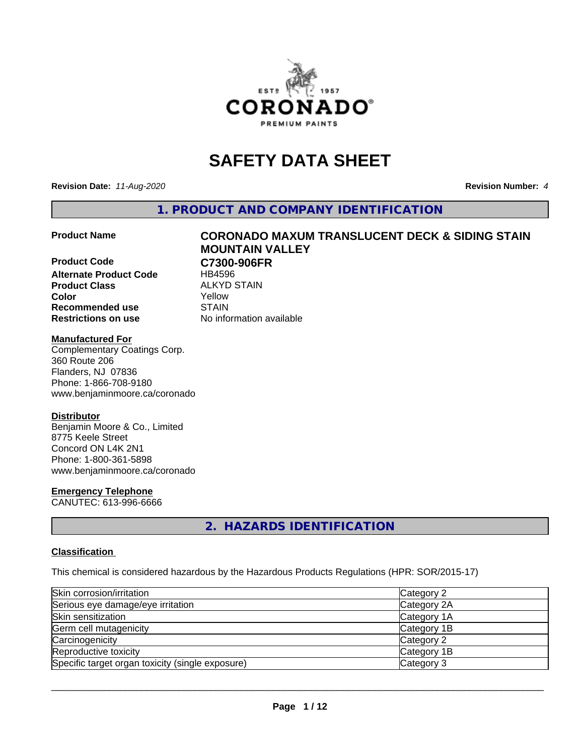

# **SAFETY DATA SHEET**

**Revision Date:** *11-Aug-2020* **Revision Number:** *4*

**1. PRODUCT AND COMPANY IDENTIFICATION**

**Product Code C7300-906FR Alternate Product Code** HB4596 **Product Class** ALKYD STAIN<br> **Color** Yellow **Color** Yellow **Recommended use STAIN Restrictions on use** No information available

# **Product Name CORONADO MAXUM TRANSLUCENT DECK & SIDING STAIN MOUNTAIN VALLEY**

#### **Manufactured For**

Complementary Coatings Corp. 360 Route 206 Flanders, NJ 07836 Phone: 1-866-708-9180 www.benjaminmoore.ca/coronado

#### **Distributor**

Benjamin Moore & Co., Limited 8775 Keele Street Concord ON L4K 2N1 Phone: 1-800-361-5898 www.benjaminmoore.ca/coronado

#### **Emergency Telephone**

CANUTEC: 613-996-6666

# **2. HAZARDS IDENTIFICATION**

#### **Classification**

This chemical is considered hazardous by the Hazardous Products Regulations (HPR: SOR/2015-17)

| Skin corrosion/irritation                        | Category 2  |
|--------------------------------------------------|-------------|
| Serious eye damage/eye irritation                | Category 2A |
| Skin sensitization                               | Category 1A |
| Germ cell mutagenicity                           | Category 1B |
| Carcinogenicity                                  | Category 2  |
| Reproductive toxicity                            | Category 1B |
| Specific target organ toxicity (single exposure) | Category 3  |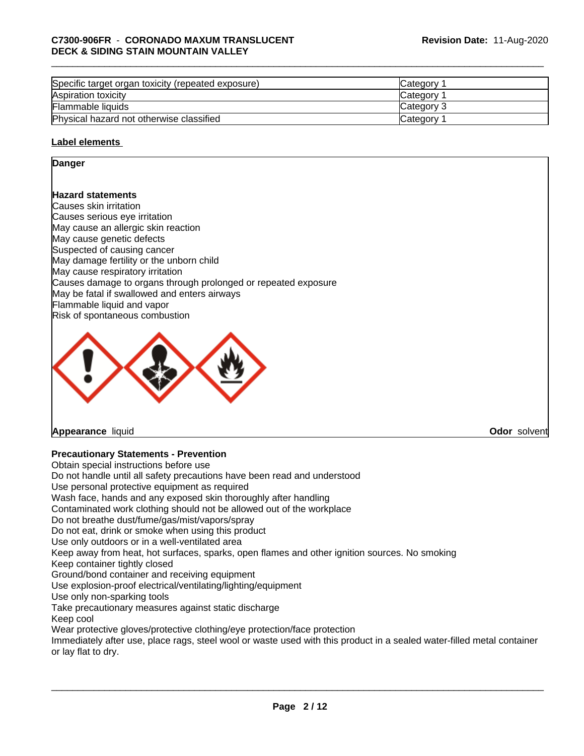| Specific target organ toxicity (repeated exposure) | <b>ICategory</b> |
|----------------------------------------------------|------------------|
| Aspiration toxicity                                | <b>Category</b>  |
| Flammable liquids                                  | Category 3       |
| Physical hazard not otherwise classified           | Category         |

#### **Label elements**

#### **Danger**

#### **Hazard statements**

Causes skin irritation Causes serious eye irritation May cause an allergic skin reaction May cause genetic defects Suspected of causing cancer May damage fertility or the unborn child May cause respiratory irritation Causes damage to organs through prolonged or repeated exposure May be fatal if swallowed and enters airways Flammable liquid and vapor Risk of spontaneous combustion



**Appearance** liquid **Odor** solvent

### **Precautionary Statements - Prevention**

Obtain special instructions before use Do not handle until all safety precautions have been read and understood Use personal protective equipment as required Wash face, hands and any exposed skin thoroughly after handling Contaminated work clothing should not be allowed out of the workplace Do not breathe dust/fume/gas/mist/vapors/spray Do not eat, drink or smoke when using this product Use only outdoors or in a well-ventilated area Keep away from heat, hot surfaces, sparks, open flames and other ignition sources. No smoking Keep container tightly closed Ground/bond container and receiving equipment Use explosion-proof electrical/ventilating/lighting/equipment Use only non-sparking tools Take precautionary measures against static discharge Keep cool Wear protective gloves/protective clothing/eye protection/face protection Immediately after use, place rags, steel wool or waste used with this product in a sealed water-filled metal container or lay flat to dry.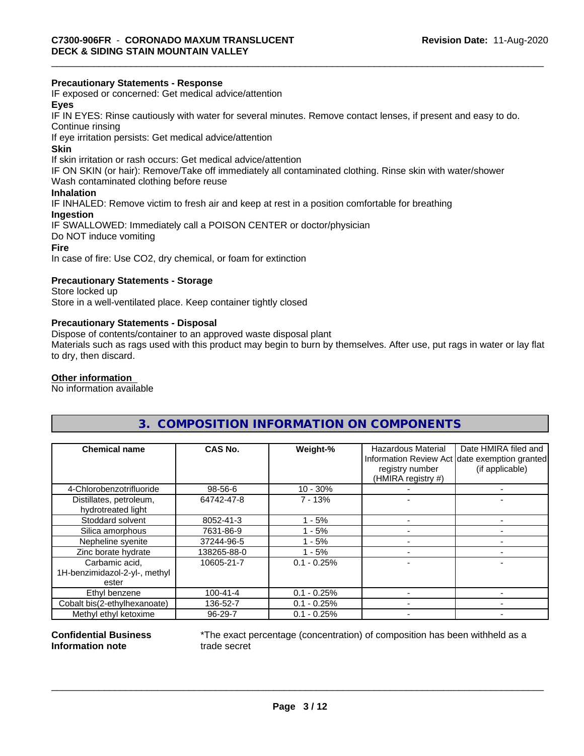#### **Precautionary Statements - Response**

IF exposed or concerned: Get medical advice/attention

### **Eyes**

IF IN EYES: Rinse cautiously with water forseveral minutes. Remove contact lenses, if present and easy to do. Continue rinsing

If eye irritation persists: Get medical advice/attention

#### **Skin**

If skin irritation or rash occurs: Get medical advice/attention

IF ON SKIN (or hair): Remove/Take off immediately all contaminated clothing. Rinse skin with water/shower

Wash contaminated clothing before reuse

# **Inhalation**

IF INHALED: Remove victim to fresh air and keep at rest in a position comfortable for breathing

#### **Ingestion**

IF SWALLOWED: Immediately call a POISON CENTER or doctor/physician Do NOT induce vomiting **Fire**

In case of fire: Use CO2, dry chemical, or foam for extinction

#### **Precautionary Statements - Storage**

Store locked up Store in a well-ventilated place. Keep container tightly closed

#### **Precautionary Statements - Disposal**

Dispose of contents/container to an approved waste disposal plant

Materials such as rags used with this product may begin to burn by themselves. After use, put rags in water or lay flat to dry, then discard.

## **Other information**

No information available

# **3. COMPOSITION INFORMATION ON COMPONENTS**

| <b>Chemical name</b>                          | CAS No.        | Weight-%      | Hazardous Material<br>registry number<br>(HMIRA registry #) | Date HMIRA filed and<br>Information Review Act date exemption granted<br>(if applicable) |
|-----------------------------------------------|----------------|---------------|-------------------------------------------------------------|------------------------------------------------------------------------------------------|
| 4-Chlorobenzotrifluoride                      | 98-56-6        | $10 - 30%$    |                                                             |                                                                                          |
| Distillates, petroleum,<br>hydrotreated light | 64742-47-8     | $7 - 13%$     |                                                             |                                                                                          |
| Stoddard solvent                              | 8052-41-3      | $-5%$         |                                                             |                                                                                          |
| Silica amorphous                              | 7631-86-9      | $1 - 5%$      |                                                             |                                                                                          |
| Nepheline syenite                             | 37244-96-5     | $1 - 5%$      |                                                             |                                                                                          |
| Zinc borate hydrate                           | 138265-88-0    | $1 - 5%$      |                                                             |                                                                                          |
| Carbamic acid,                                | 10605-21-7     | $0.1 - 0.25%$ |                                                             |                                                                                          |
| 1H-benzimidazol-2-yl-, methyl<br>ester        |                |               |                                                             |                                                                                          |
| Ethyl benzene                                 | $100 - 41 - 4$ | $0.1 - 0.25%$ |                                                             |                                                                                          |
| Cobalt bis(2-ethylhexanoate)                  | 136-52-7       | $0.1 - 0.25%$ |                                                             |                                                                                          |
| Methyl ethyl ketoxime                         | 96-29-7        | $0.1 - 0.25%$ |                                                             |                                                                                          |

#### **Confidential Business Information note**

\*The exact percentage (concentration) of composition has been withheld as a trade secret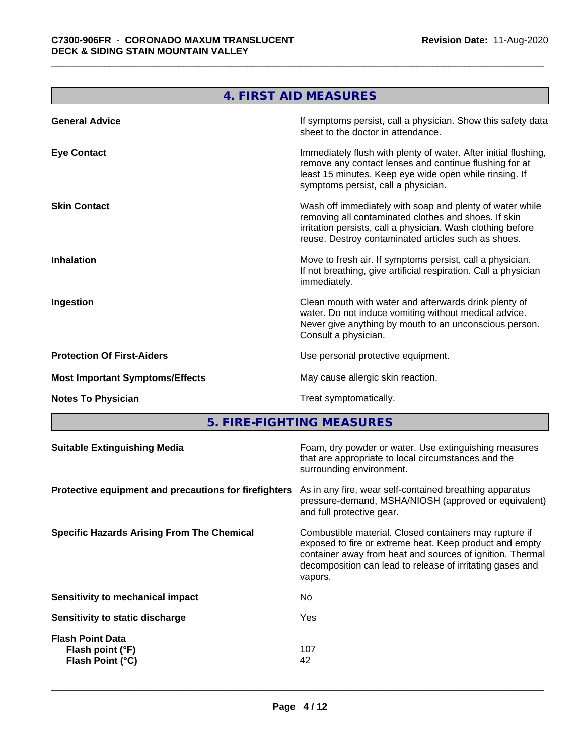**The Committee of the Committee of the Committee** 

| 4. FIRST AID MEASURES                                                                                                                                                                                                                  |
|----------------------------------------------------------------------------------------------------------------------------------------------------------------------------------------------------------------------------------------|
| If symptoms persist, call a physician. Show this safety data<br>sheet to the doctor in attendance.                                                                                                                                     |
| Immediately flush with plenty of water. After initial flushing,<br>remove any contact lenses and continue flushing for at<br>least 15 minutes. Keep eye wide open while rinsing. If<br>symptoms persist, call a physician.             |
| Wash off immediately with soap and plenty of water while<br>removing all contaminated clothes and shoes. If skin<br>irritation persists, call a physician. Wash clothing before<br>reuse. Destroy contaminated articles such as shoes. |
| Move to fresh air. If symptoms persist, call a physician.<br>If not breathing, give artificial respiration. Call a physician<br>immediately.                                                                                           |
| Clean mouth with water and afterwards drink plenty of<br>water. Do not induce vomiting without medical advice.<br>Never give anything by mouth to an unconscious person.<br>Consult a physician.                                       |
| Use personal protective equipment.                                                                                                                                                                                                     |
| May cause allergic skin reaction.                                                                                                                                                                                                      |
| Treat symptomatically.                                                                                                                                                                                                                 |
|                                                                                                                                                                                                                                        |

**5. FIRE-FIGHTING MEASURES**

| <b>Suitable Extinguishing Media</b>                             | Foam, dry powder or water. Use extinguishing measures<br>that are appropriate to local circumstances and the<br>surrounding environment.                                                                                                               |
|-----------------------------------------------------------------|--------------------------------------------------------------------------------------------------------------------------------------------------------------------------------------------------------------------------------------------------------|
| Protective equipment and precautions for firefighters           | As in any fire, wear self-contained breathing apparatus<br>pressure-demand, MSHA/NIOSH (approved or equivalent)<br>and full protective gear.                                                                                                           |
| <b>Specific Hazards Arising From The Chemical</b>               | Combustible material. Closed containers may rupture if<br>exposed to fire or extreme heat. Keep product and empty<br>container away from heat and sources of ignition. Thermal<br>decomposition can lead to release of irritating gases and<br>vapors. |
| Sensitivity to mechanical impact                                | No.                                                                                                                                                                                                                                                    |
| Sensitivity to static discharge                                 | Yes                                                                                                                                                                                                                                                    |
| <b>Flash Point Data</b><br>Flash point (°F)<br>Flash Point (°C) | 107<br>42                                                                                                                                                                                                                                              |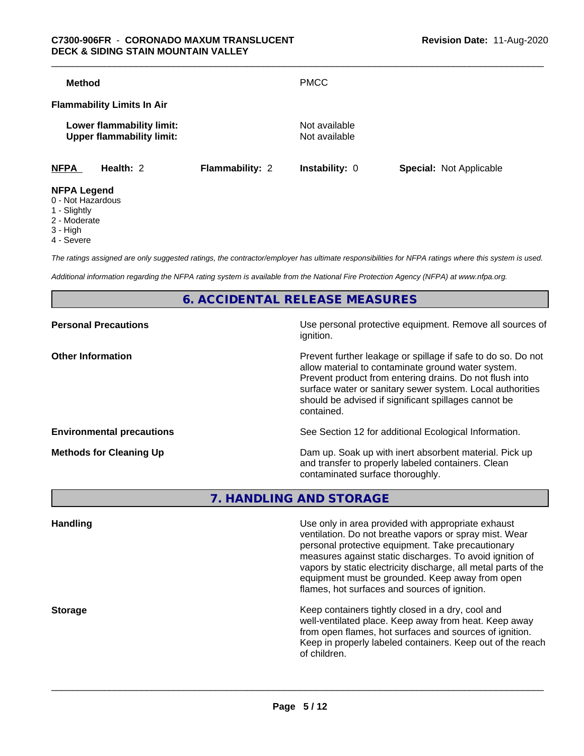| <b>Method</b>      |                                                               |                        | <b>PMCC</b>                    |                                |
|--------------------|---------------------------------------------------------------|------------------------|--------------------------------|--------------------------------|
|                    | <b>Flammability Limits In Air</b>                             |                        |                                |                                |
|                    | Lower flammability limit:<br><b>Upper flammability limit:</b> |                        | Not available<br>Not available |                                |
| <b>NFPA</b>        | Health: 2                                                     | <b>Flammability: 2</b> | <b>Instability: 0</b>          | <b>Special: Not Applicable</b> |
| <b>NFPA Legend</b> |                                                               |                        |                                |                                |

- 0 Not Hazardous
- 1 Slightly
- 2 Moderate
- 3 High
- 4 Severe

*The ratings assigned are only suggested ratings, the contractor/employer has ultimate responsibilities for NFPA ratings where this system is used.*

*Additional information regarding the NFPA rating system is available from the National Fire Protection Agency (NFPA) at www.nfpa.org.*

**6. ACCIDENTAL RELEASE MEASURES**

| Use personal protective equipment. Remove all sources of<br>ignition.                                                                                                                                                                                                                                            |
|------------------------------------------------------------------------------------------------------------------------------------------------------------------------------------------------------------------------------------------------------------------------------------------------------------------|
| Prevent further leakage or spillage if safe to do so. Do not<br>allow material to contaminate ground water system.<br>Prevent product from entering drains. Do not flush into<br>surface water or sanitary sewer system. Local authorities<br>should be advised if significant spillages cannot be<br>contained. |
| See Section 12 for additional Ecological Information.                                                                                                                                                                                                                                                            |
| Dam up. Soak up with inert absorbent material. Pick up<br>and transfer to properly labeled containers. Clean<br>contaminated surface thoroughly.                                                                                                                                                                 |
|                                                                                                                                                                                                                                                                                                                  |

**7. HANDLING AND STORAGE**

| <b>Handling</b> | Use only in area provided with appropriate exhaust<br>ventilation. Do not breathe vapors or spray mist. Wear<br>personal protective equipment. Take precautionary<br>measures against static discharges. To avoid ignition of<br>vapors by static electricity discharge, all metal parts of the<br>equipment must be grounded. Keep away from open<br>flames, hot surfaces and sources of ignition. |
|-----------------|-----------------------------------------------------------------------------------------------------------------------------------------------------------------------------------------------------------------------------------------------------------------------------------------------------------------------------------------------------------------------------------------------------|
| <b>Storage</b>  | Keep containers tightly closed in a dry, cool and<br>well-ventilated place. Keep away from heat. Keep away<br>from open flames, hot surfaces and sources of ignition.<br>Keep in properly labeled containers. Keep out of the reach<br>of children.                                                                                                                                                 |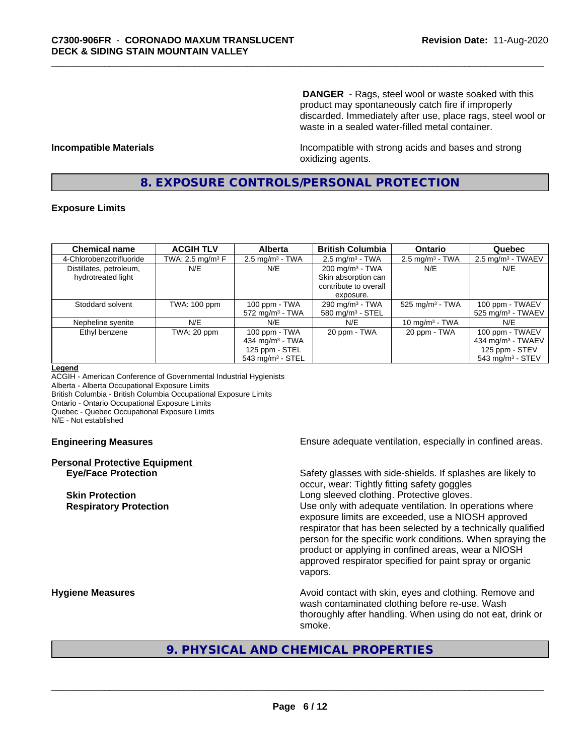**DANGER** - Rags, steel wool or waste soaked with this product may spontaneously catch fire if improperly discarded. Immediately after use, place rags, steel wool or waste in a sealed water-filled metal container.

**Incompatible Materials Incompatible with strong acids and bases and strong** oxidizing agents.

## **8. EXPOSURE CONTROLS/PERSONAL PROTECTION**

#### **Exposure Limits**

| <b>Chemical name</b>     | <b>ACGIH TLV</b>    | <b>Alberta</b>                 | <b>British Columbia</b>      | <b>Ontario</b>                | Quebec                          |
|--------------------------|---------------------|--------------------------------|------------------------------|-------------------------------|---------------------------------|
| 4-Chlorobenzotrifluoride | TWA: 2.5 mg/m $3$ F | $2.5$ mg/m <sup>3</sup> - TWA  | $2.5 \text{ mg/m}^3$ - TWA   | $2.5 \text{ mg/m}^3$ - TWA    | $2.5 \text{ mg/m}^3$ - TWAEV    |
| Distillates, petroleum,  | N/E                 | N/E                            | $200 \text{ mg/m}^3$ - TWA   | N/E                           | N/E                             |
| hydrotreated light       |                     |                                | Skin absorption can          |                               |                                 |
|                          |                     |                                | contribute to overall        |                               |                                 |
|                          |                     |                                | exposure.                    |                               |                                 |
| Stoddard solvent         | TWA: 100 ppm        | 100 ppm - TWA                  | 290 mg/m $3$ - TWA           | $525$ mg/m <sup>3</sup> - TWA | 100 ppm - TWAEV                 |
|                          |                     | $572$ mg/m <sup>3</sup> - TWA  | 580 mg/m <sup>3</sup> - STEL |                               | $525$ mg/m <sup>3</sup> - TWAEV |
| Nepheline syenite        | N/E                 | N/E                            | N/E                          | 10 mg/m $3$ - TWA             | N/E                             |
| Ethyl benzene            | TWA: 20 ppm         | 100 ppm - TWA                  | 20 ppm - TWA                 | 20 ppm - TWA                  | 100 ppm - TWAEV                 |
|                          |                     | 434 mg/m $3$ - TWA             |                              |                               | 434 mg/m <sup>3</sup> - TWAEV   |
|                          |                     | 125 ppm - STEL                 |                              |                               | 125 ppm - STEV                  |
|                          |                     | $543$ mg/m <sup>3</sup> - STEL |                              |                               | $543$ mg/m <sup>3</sup> - STEV  |

#### **Legend**

ACGIH - American Conference of Governmental Industrial Hygienists Alberta - Alberta Occupational Exposure Limits British Columbia - British Columbia Occupational Exposure Limits Ontario - Ontario Occupational Exposure Limits Quebec - Quebec Occupational Exposure Limits N/E - Not established

# **Personal Protective Equipment**

**Engineering Measures Ensure** Ensure adequate ventilation, especially in confined areas.

**Eye/Face Protection** Safety glasses with side-shields. If splashes are likely to occur, wear: Tightly fitting safety goggles **Skin Protection Skin Protection Skin Protective gloves.** Long sleeved clothing. Protective gloves. **Respiratory Protection Number 1** (Use only with adequate ventilation. In operations where exposure limits are exceeded, use a NIOSH approved respirator that has been selected by a technically qualified person for the specific work conditions. When spraying the product or applying in confined areas, wear a NIOSH approved respirator specified for paint spray or organic vapors.

**Hygiene Measures Avoid contact with skin, eyes and clothing. Remove and Avoid contact with skin, eyes and clothing. Remove and** wash contaminated clothing before re-use. Wash thoroughly after handling. When using do not eat, drink or smoke.

# **9. PHYSICAL AND CHEMICAL PROPERTIES**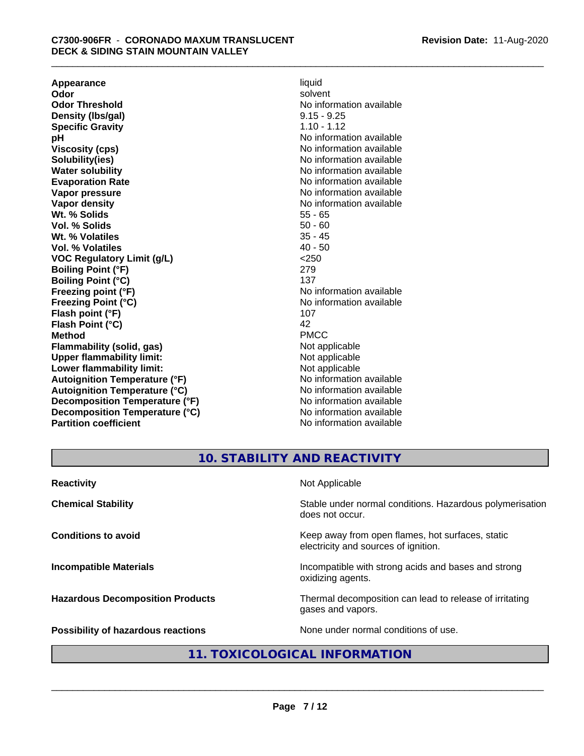**Appearance** liquid and **a liquid liquid liquid** by the liquid liquid liquid solvent **Odor** solvent **Odor Threshold** No information available **Density (lbs/gal)** 9.15 - 9.25 **Specific Gravity** 1.10 - 1.12<br> **pH** No informa **Viscosity (cps)** No information available **Solubility(ies)** No information available **Water solubility** No information available **Evaporation Rate No information available No information available Vapor pressure** No information available **Vapor density No information available No** information available **Wt. % Solids** 55 - 65<br> **Vol. % Solids** 50 - 60 **Vol. % Solids** 50 - 60 **Wt. % Volatiles Vol. % Volatiles** 40 - 50 **VOC Regulatory Limit (g/L)** <250 **Boiling Point (°F)** 279 **Boiling Point (°C)** 137<br> **Preezing point (°F)** No interval 137 **Freezing Point (°C)** and **COV** No information available **Flash point (°F)** 107 **Flash Point (°C)** 42 **Method** PMCC **Flammability (solid, gas)**<br> **Commability limit:**<br>
Upper flammability limit:<br>
Not applicable **Upper flammability limit:**<br> **Lower flammability limit:**<br>
Not applicable<br>
Not applicable **Lower flammability limit:**<br> **Autoianition Temperature (°F)** Not applicable Not applicable not a Not applicable **Autoignition Temperature (°F) Autoignition Temperature (°C)** No information available **Decomposition Temperature (°F)** No information available **Decomposition Temperature (°C)** No information available **Partition coefficient** No information available

**No information available No information available** 

# **10. STABILITY AND REACTIVITY**

| <b>Reactivity</b>                       | Not Applicable                                                                           |
|-----------------------------------------|------------------------------------------------------------------------------------------|
| <b>Chemical Stability</b>               | Stable under normal conditions. Hazardous polymerisation<br>does not occur.              |
| <b>Conditions to avoid</b>              | Keep away from open flames, hot surfaces, static<br>electricity and sources of ignition. |
| <b>Incompatible Materials</b>           | Incompatible with strong acids and bases and strong<br>oxidizing agents.                 |
| <b>Hazardous Decomposition Products</b> | Thermal decomposition can lead to release of irritating<br>gases and vapors.             |
| Possibility of hazardous reactions      | None under normal conditions of use.                                                     |

# **11. TOXICOLOGICAL INFORMATION**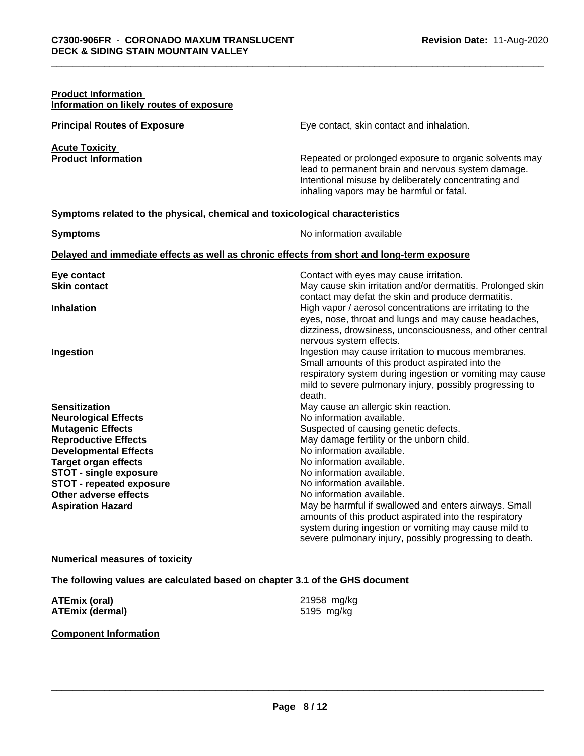| <b>Product Information</b><br>Information on likely routes of exposure       |                                                                                                                                                                                                                  |
|------------------------------------------------------------------------------|------------------------------------------------------------------------------------------------------------------------------------------------------------------------------------------------------------------|
| <b>Principal Routes of Exposure</b>                                          | Eye contact, skin contact and inhalation.                                                                                                                                                                        |
| <b>Acute Toxicity</b>                                                        |                                                                                                                                                                                                                  |
| <b>Product Information</b>                                                   | Repeated or prolonged exposure to organic solvents may<br>lead to permanent brain and nervous system damage.<br>Intentional misuse by deliberately concentrating and<br>inhaling vapors may be harmful or fatal. |
| Symptoms related to the physical, chemical and toxicological characteristics |                                                                                                                                                                                                                  |
| <b>Symptoms</b>                                                              | No information available                                                                                                                                                                                         |
|                                                                              | Delayed and immediate effects as well as chronic effects from short and long-term exposure                                                                                                                       |
| Eye contact                                                                  | Contact with eyes may cause irritation.                                                                                                                                                                          |
| <b>Skin contact</b>                                                          | May cause skin irritation and/or dermatitis. Prolonged skin                                                                                                                                                      |
| <b>Inhalation</b>                                                            | contact may defat the skin and produce dermatitis.<br>High vapor / aerosol concentrations are irritating to the<br>eyes, nose, throat and lungs and may cause headaches,                                         |
|                                                                              | dizziness, drowsiness, unconsciousness, and other central                                                                                                                                                        |
|                                                                              | nervous system effects.                                                                                                                                                                                          |
| Ingestion                                                                    | Ingestion may cause irritation to mucous membranes.<br>Small amounts of this product aspirated into the                                                                                                          |
|                                                                              | respiratory system during ingestion or vomiting may cause                                                                                                                                                        |
|                                                                              | mild to severe pulmonary injury, possibly progressing to                                                                                                                                                         |
|                                                                              | death.                                                                                                                                                                                                           |
| <b>Sensitization</b>                                                         | May cause an allergic skin reaction.                                                                                                                                                                             |
| <b>Neurological Effects</b>                                                  | No information available.                                                                                                                                                                                        |
| <b>Mutagenic Effects</b>                                                     | Suspected of causing genetic defects.                                                                                                                                                                            |
| <b>Reproductive Effects</b>                                                  | May damage fertility or the unborn child.                                                                                                                                                                        |
| <b>Developmental Effects</b>                                                 | No information available.                                                                                                                                                                                        |
| <b>Target organ effects</b>                                                  | No information available.                                                                                                                                                                                        |
| <b>STOT - single exposure</b>                                                | No information available.                                                                                                                                                                                        |
| <b>STOT - repeated exposure</b>                                              | No information available.                                                                                                                                                                                        |
| Other adverse effects                                                        | No information available.                                                                                                                                                                                        |
| <b>Aspiration Hazard</b>                                                     | May be harmful if swallowed and enters airways. Small                                                                                                                                                            |
|                                                                              | amounts of this product aspirated into the respiratory                                                                                                                                                           |
|                                                                              | system during ingestion or vomiting may cause mild to                                                                                                                                                            |
|                                                                              | severe pulmonary injury, possibly progressing to death.                                                                                                                                                          |

#### **Numerical measures of toxicity**

**The following values are calculated based on chapter 3.1 of the GHS document**

| ATEmix (oral)          | 21958 mg/kg |
|------------------------|-------------|
| <b>ATEmix (dermal)</b> | 5195 mg/kg  |

#### **Component Information**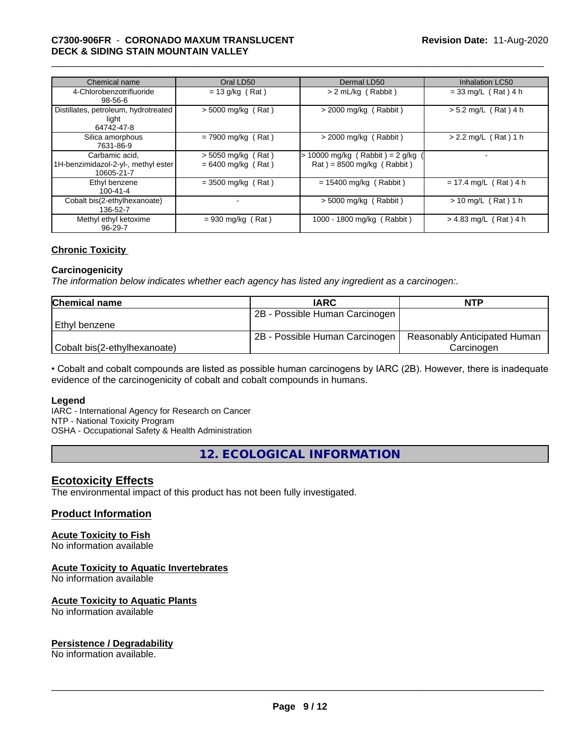#### \_\_\_\_\_\_\_\_\_\_\_\_\_\_\_\_\_\_\_\_\_\_\_\_\_\_\_\_\_\_\_\_\_\_\_\_\_\_\_\_\_\_\_\_\_\_\_\_\_\_\_\_\_\_\_\_\_\_\_\_\_\_\_\_\_\_\_\_\_\_\_\_\_\_\_\_\_\_\_\_\_\_\_\_\_\_\_\_\_\_\_\_\_ **C7300-906FR** - **CORONADO MAXUM TRANSLUCENT DECK & SIDING STAIN MOUNTAIN VALLEY**

| Chemical name                                                       | Oral LD50                                    | Dermal LD50                                                    | <b>Inhalation LC50</b>     |
|---------------------------------------------------------------------|----------------------------------------------|----------------------------------------------------------------|----------------------------|
| 4-Chlorobenzotrifluoride<br>$98 - 56 - 6$                           | $= 13$ g/kg (Rat)                            | > 2 mL/kg (Rabbit)                                             | $= 33$ mg/L (Rat) 4 h      |
| Distillates, petroleum, hydrotreated<br>light<br>64742-47-8         | $>$ 5000 mg/kg (Rat)                         | $>$ 2000 mg/kg (Rabbit)                                        | $> 5.2$ mg/L (Rat) 4 h     |
| Silica amorphous<br>7631-86-9                                       | $= 7900$ mg/kg (Rat)                         | $>$ 2000 mg/kg (Rabbit)                                        | $> 2.2$ mg/L (Rat) 1 h     |
| Carbamic acid.<br>1H-benzimidazol-2-yl-, methyl ester<br>10605-21-7 | $> 5050$ mg/kg (Rat)<br>$= 6400$ mg/kg (Rat) | > 10000 mg/kg (Rabbit) = 2 g/kg<br>$Rat$ = 8500 mg/kg (Rabbit) |                            |
| Ethyl benzene<br>$100 - 41 - 4$                                     | $= 3500$ mg/kg (Rat)                         | $= 15400$ mg/kg (Rabbit)                                       | $= 17.4$ mg/L (Rat) 4 h    |
| Cobalt bis(2-ethylhexanoate)<br>136-52-7                            |                                              | $>$ 5000 mg/kg (Rabbit)                                        | (Rat) 1 h<br>$> 10$ mg/L ( |
| Methyl ethyl ketoxime<br>96-29-7                                    | $= 930$ mg/kg (Rat)                          | 1000 - 1800 mg/kg (Rabbit)                                     | $> 4.83$ mg/L (Rat) 4 h    |

#### **Chronic Toxicity**

#### **Carcinogenicity**

*The information below indicateswhether each agency has listed any ingredient as a carcinogen:.*

| <b>Chemical name</b>         | <b>IARC</b>                    | <b>NTP</b>                   |
|------------------------------|--------------------------------|------------------------------|
|                              | 2B - Possible Human Carcinogen |                              |
| Ethyl benzene                |                                |                              |
|                              | 2B - Possible Human Carcinogen | Reasonably Anticipated Human |
| Cobalt bis(2-ethylhexanoate) |                                | Carcinoɑen                   |

• Cobalt and cobalt compounds are listed as possible human carcinogens by IARC (2B). However, there is inadequate evidence of the carcinogenicity of cobalt and cobalt compounds in humans.

#### **Legend**

IARC - International Agency for Research on Cancer NTP - National Toxicity Program

OSHA - Occupational Safety & Health Administration

**12. ECOLOGICAL INFORMATION**

### **Ecotoxicity Effects**

The environmental impact of this product has not been fully investigated.

#### **Product Information**

# **Acute Toxicity to Fish**

No information available

#### **Acute Toxicity to Aquatic Invertebrates**

No information available

#### **Acute Toxicity to Aquatic Plants**

No information available

## **Persistence / Degradability**

No information available.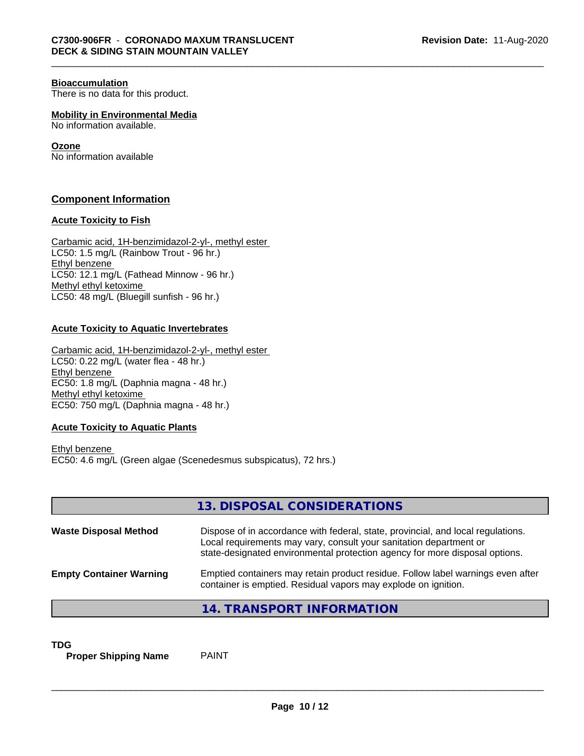#### **Bioaccumulation**

There is no data for this product.

**Mobility in Environmental Media**

No information available.

#### **Ozone**

No information available

### **Component Information**

#### **Acute Toxicity to Fish**

Carbamic acid, 1H-benzimidazol-2-yl-, methyl ester LC50: 1.5 mg/L (Rainbow Trout - 96 hr.) Ethyl benzene LC50: 12.1 mg/L (Fathead Minnow - 96 hr.) Methyl ethyl ketoxime LC50: 48 mg/L (Bluegill sunfish - 96 hr.)

#### **Acute Toxicity to Aquatic Invertebrates**

Carbamic acid, 1H-benzimidazol-2-yl-, methyl ester LC50: 0.22 mg/L (water flea - 48 hr.) Ethyl benzene EC50: 1.8 mg/L (Daphnia magna - 48 hr.) Methyl ethyl ketoxime EC50: 750 mg/L (Daphnia magna - 48 hr.)

### **Acute Toxicity to Aquatic Plants**

Ethyl benzene EC50: 4.6 mg/L (Green algae (Scenedesmus subspicatus), 72 hrs.)

|                                | 13. DISPOSAL CONSIDERATIONS                                                                                                                                                                                                           |
|--------------------------------|---------------------------------------------------------------------------------------------------------------------------------------------------------------------------------------------------------------------------------------|
| <b>Waste Disposal Method</b>   | Dispose of in accordance with federal, state, provincial, and local regulations.<br>Local requirements may vary, consult your sanitation department or<br>state-designated environmental protection agency for more disposal options. |
| <b>Empty Container Warning</b> | Emptied containers may retain product residue. Follow label warnings even after<br>container is emptied. Residual vapors may explode on ignition.                                                                                     |
|                                | 14. TRANSPORT INFORMATION                                                                                                                                                                                                             |

**TDG**<br>**Proper Shipping Name** PAINT **Proper Shipping Name**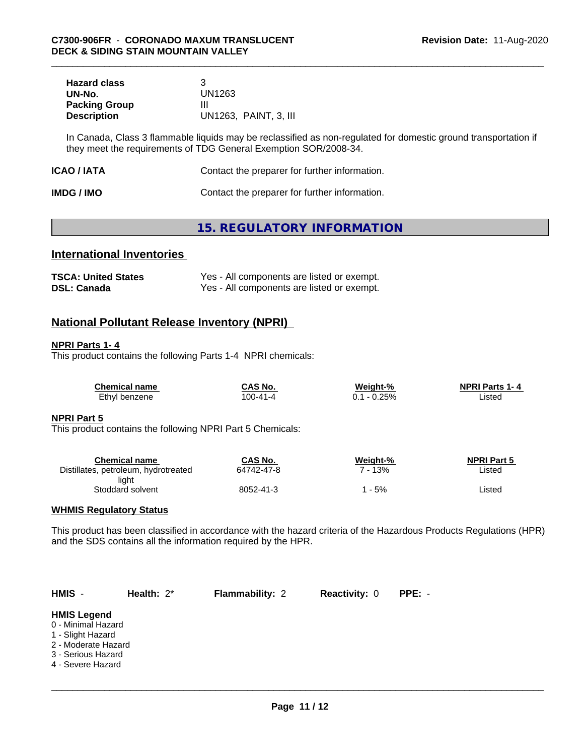| <b>Hazard class</b>  |                       |
|----------------------|-----------------------|
| UN-No.               | UN1263                |
| <b>Packing Group</b> | Ш                     |
| <b>Description</b>   | UN1263, PAINT, 3, III |

In Canada, Class 3 flammable liquids may be reclassified as non-regulated for domestic ground transportation if they meet the requirements of TDG General Exemption SOR/2008-34.

| Contact the preparer for further information.<br>ICAO / IATA |  |
|--------------------------------------------------------------|--|
|--------------------------------------------------------------|--|

| <b>IMDG / IMO</b> | Contact the preparer for further information. |
|-------------------|-----------------------------------------------|
|-------------------|-----------------------------------------------|

# **15. REGULATORY INFORMATION**

# **International Inventories**

| <b>TSCA: United States</b> | Yes - All components are listed or exempt. |
|----------------------------|--------------------------------------------|
| <b>DSL: Canada</b>         | Yes - All components are listed or exempt. |

# **National Pollutant Release Inventory (NPRI)**

#### **NPRI Parts 1- 4**

This product contains the following Parts 1-4 NPRI chemicals:

| <b>Chemical name</b> | CAS No.        | Weight-% | <b>NPRI Parts 1-4</b> |
|----------------------|----------------|----------|-----------------------|
| Ethyl benzene        | $100 - 41 - 4$ | $-0.25%$ | ∟isted                |

#### **NPRI Part 5**

This product contains the following NPRI Part 5 Chemicals:

| Chemical name                        | CAS No.    | Weight-% | <b>NPRI Part 5</b> |
|--------------------------------------|------------|----------|--------------------|
| Distillates, petroleum, hydrotreated | 64742-47-8 | 13%      | Listed             |
| light                                |            |          |                    |
| Stoddard solvent                     | 8052-41-3  | - 5%     | Listed             |

#### **WHMIS Regulatory Status**

This product has been classified in accordance with the hazard criteria of the Hazardous Products Regulations (HPR) and the SDS contains all the information required by the HPR.

| $HMIS -$                                                                                                                        | Health: $2^*$ | <b>Flammability: 2</b> | <b>Reactivity: 0</b> | PPE: - |  |
|---------------------------------------------------------------------------------------------------------------------------------|---------------|------------------------|----------------------|--------|--|
| <b>HMIS Legend</b><br>0 - Minimal Hazard<br>1 - Slight Hazard<br>2 - Moderate Hazard<br>3 - Serious Hazard<br>4 - Severe Hazard |               |                        |                      |        |  |
|                                                                                                                                 |               |                        |                      |        |  |